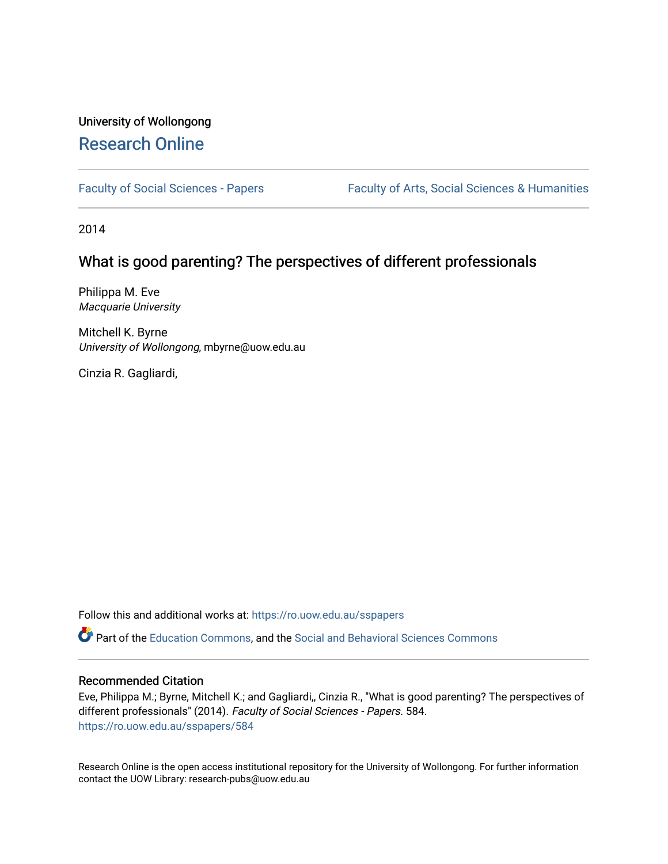# University of Wollongong [Research Online](https://ro.uow.edu.au/)

[Faculty of Social Sciences - Papers](https://ro.uow.edu.au/sspapers) Faculty of Arts, Social Sciences & Humanities

2014

## What is good parenting? The perspectives of different professionals

Philippa M. Eve Macquarie University

Mitchell K. Byrne University of Wollongong, mbyrne@uow.edu.au

Cinzia R. Gagliardi,

Follow this and additional works at: [https://ro.uow.edu.au/sspapers](https://ro.uow.edu.au/sspapers?utm_source=ro.uow.edu.au%2Fsspapers%2F584&utm_medium=PDF&utm_campaign=PDFCoverPages) 

Part of the [Education Commons](http://network.bepress.com/hgg/discipline/784?utm_source=ro.uow.edu.au%2Fsspapers%2F584&utm_medium=PDF&utm_campaign=PDFCoverPages), and the [Social and Behavioral Sciences Commons](http://network.bepress.com/hgg/discipline/316?utm_source=ro.uow.edu.au%2Fsspapers%2F584&utm_medium=PDF&utm_campaign=PDFCoverPages) 

#### Recommended Citation

Eve, Philippa M.; Byrne, Mitchell K.; and Gagliardi,, Cinzia R., "What is good parenting? The perspectives of different professionals" (2014). Faculty of Social Sciences - Papers. 584. [https://ro.uow.edu.au/sspapers/584](https://ro.uow.edu.au/sspapers/584?utm_source=ro.uow.edu.au%2Fsspapers%2F584&utm_medium=PDF&utm_campaign=PDFCoverPages) 

Research Online is the open access institutional repository for the University of Wollongong. For further information contact the UOW Library: research-pubs@uow.edu.au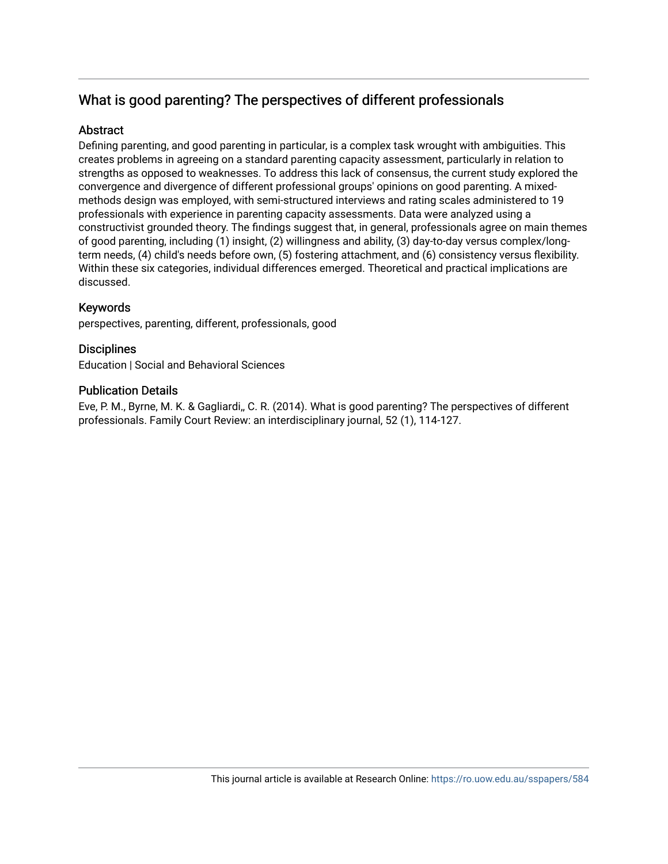# What is good parenting? The perspectives of different professionals

## **Abstract**

Defining parenting, and good parenting in particular, is a complex task wrought with ambiguities. This creates problems in agreeing on a standard parenting capacity assessment, particularly in relation to strengths as opposed to weaknesses. To address this lack of consensus, the current study explored the convergence and divergence of different professional groups' opinions on good parenting. A mixedmethods design was employed, with semi-structured interviews and rating scales administered to 19 professionals with experience in parenting capacity assessments. Data were analyzed using a constructivist grounded theory. The findings suggest that, in general, professionals agree on main themes of good parenting, including (1) insight, (2) willingness and ability, (3) day-to-day versus complex/longterm needs, (4) child's needs before own, (5) fostering attachment, and (6) consistency versus flexibility. Within these six categories, individual differences emerged. Theoretical and practical implications are discussed.

## Keywords

perspectives, parenting, different, professionals, good

## **Disciplines**

Education | Social and Behavioral Sciences

## Publication Details

Eve, P. M., Byrne, M. K. & Gagliardi,, C. R. (2014). What is good parenting? The perspectives of different professionals. Family Court Review: an interdisciplinary journal, 52 (1), 114-127.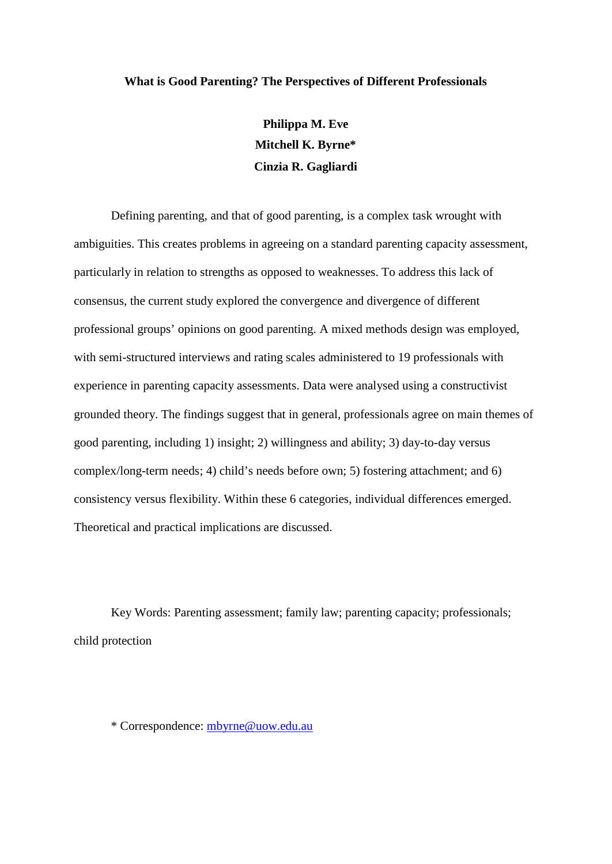#### **What is Good Parenting? The Perspectives of Different Professionals**

**Philippa M. Eve Mitchell K. Byrne\* Cinzia R. Gagliardi**

Defining parenting, and that of good parenting, is a complex task wrought with ambiguities. This creates problems in agreeing on a standard parenting capacity assessment, particularly in relation to strengths as opposed to weaknesses. To address this lack of consensus, the current study explored the convergence and divergence of different professional groups' opinions on good parenting. A mixed methods design was employed, with semi-structured interviews and rating scales administered to 19 professionals with experience in parenting capacity assessments. Data were analysed using a constructivist grounded theory. The findings suggest that in general, professionals agree on main themes of good parenting, including 1) insight; 2) willingness and ability; 3) day-to-day versus complex/long-term needs; 4) child's needs before own; 5) fostering attachment; and 6) consistency versus flexibility. Within these 6 categories, individual differences emerged. Theoretical and practical implications are discussed.

Key Words: Parenting assessment; family law; parenting capacity; professionals; child protection

\* Correspondence: [mbyrne@uow.edu.au](mailto:mbyrne@uow.edu.au)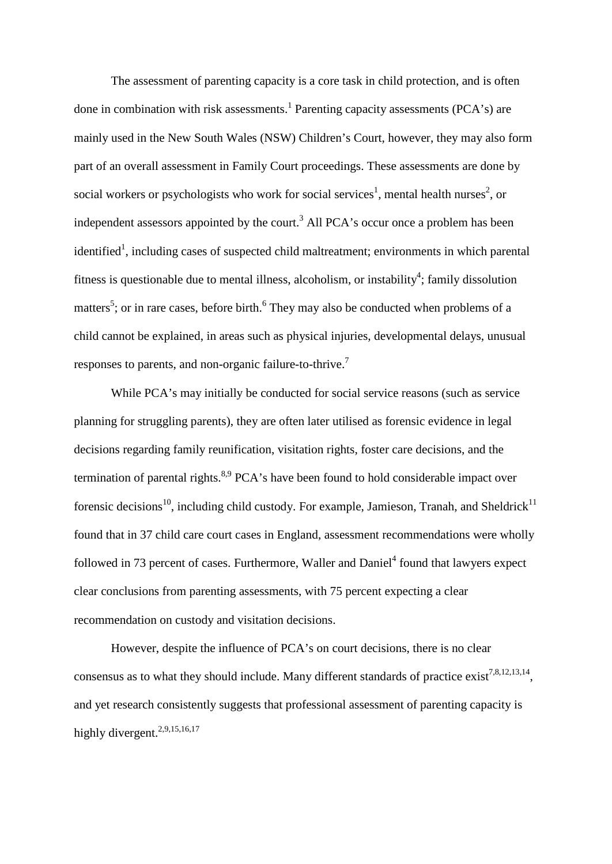The assessment of parenting capacity is a core task in child protection, and is often done in combination with risk assessments.<sup>1</sup> Parenting capacity assessments (PCA's) are mainly used in the New South Wales (NSW) Children's Court, however, they may also form part of an overall assessment in Family Court proceedings. These assessments are done by social workers or psychologists who work for social services<sup>1</sup>, mental health nurses<sup>2</sup>, or independent assessors appointed by the court.<sup>3</sup> All PCA's occur once a problem has been identified<sup>1</sup>, including cases of suspected child maltreatment; environments in which parental fitness is questionable due to mental illness, alcoholism, or instability<sup>4</sup>; family dissolution matters<sup>5</sup>; or in rare cases, before birth.<sup>6</sup> They may also be conducted when problems of a child cannot be explained, in areas such as physical injuries, developmental delays, unusual responses to parents, and non-organic failure-to-thrive.7

While PCA's may initially be conducted for social service reasons (such as service planning for struggling parents), they are often later utilised as forensic evidence in legal decisions regarding family reunification, visitation rights, foster care decisions, and the termination of parental rights.<sup>8,9</sup> PCA's have been found to hold considerable impact over forensic decisions<sup>10</sup>, including child custody. For example, Jamieson, Tranah, and Sheldrick<sup>11</sup> found that in 37 child care court cases in England, assessment recommendations were wholly followed in 73 percent of cases. Furthermore, Waller and Daniel<sup>4</sup> found that lawyers expect clear conclusions from parenting assessments, with 75 percent expecting a clear recommendation on custody and visitation decisions.

However, despite the influence of PCA's on court decisions, there is no clear consensus as to what they should include. Many different standards of practice exist<sup>7,8,12,13,14</sup>, and yet research consistently suggests that professional assessment of parenting capacity is highly divergent.<sup>2,9,15,16,17</sup>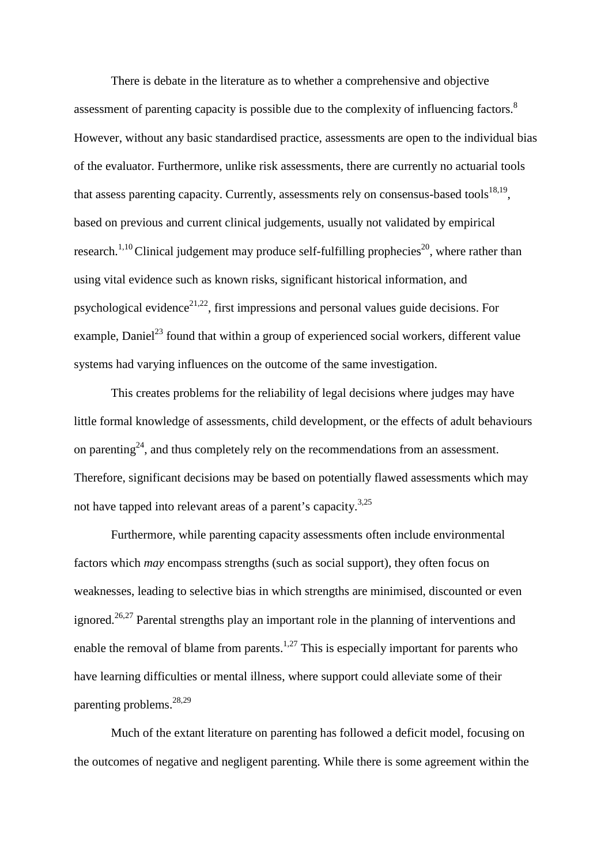There is debate in the literature as to whether a comprehensive and objective assessment of parenting capacity is possible due to the complexity of influencing factors.<sup>8</sup> However, without any basic standardised practice, assessments are open to the individual bias of the evaluator. Furthermore, unlike risk assessments, there are currently no actuarial tools that assess parenting capacity. Currently, assessments rely on consensus-based tools $^{18,19}$ , based on previous and current clinical judgements, usually not validated by empirical research.<sup>1,10</sup> Clinical judgement may produce self-fulfilling prophecies<sup>20</sup>, where rather than using vital evidence such as known risks, significant historical information, and psychological evidence<sup>21,22</sup>, first impressions and personal values guide decisions. For example, Daniel<sup>23</sup> found that within a group of experienced social workers, different value systems had varying influences on the outcome of the same investigation.

This creates problems for the reliability of legal decisions where judges may have little formal knowledge of assessments, child development, or the effects of adult behaviours on parenting<sup>24</sup>, and thus completely rely on the recommendations from an assessment. Therefore, significant decisions may be based on potentially flawed assessments which may not have tapped into relevant areas of a parent's capacity.<sup>3,25</sup>

Furthermore, while parenting capacity assessments often include environmental factors which *may* encompass strengths (such as social support), they often focus on weaknesses, leading to selective bias in which strengths are minimised, discounted or even ignored.<sup>26,27</sup> Parental strengths play an important role in the planning of interventions and enable the removal of blame from parents.<sup>1,27</sup> This is especially important for parents who have learning difficulties or mental illness, where support could alleviate some of their parenting problems. 28,29

Much of the extant literature on parenting has followed a deficit model, focusing on the outcomes of negative and negligent parenting. While there is some agreement within the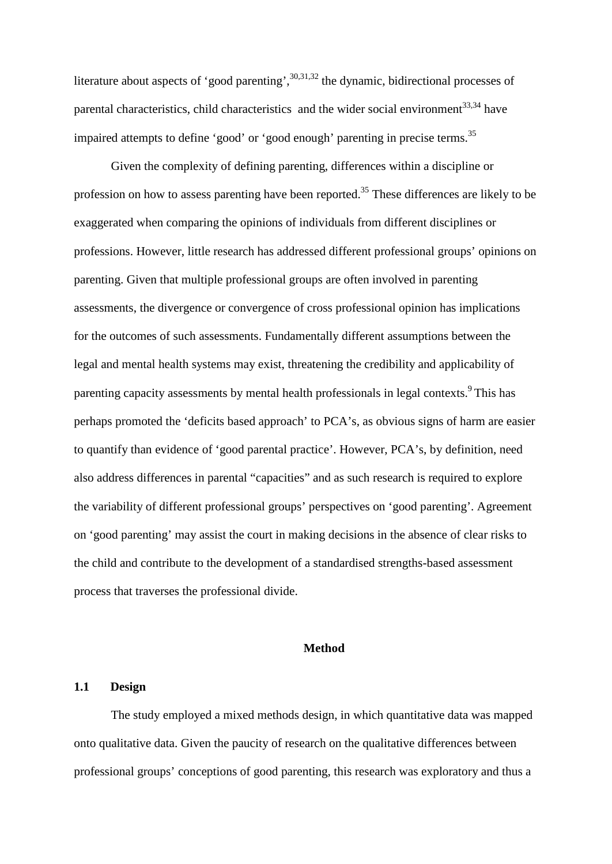literature about aspects of 'good parenting',  $30,31,32$  the dynamic, bidirectional processes of parental characteristics, child characteristics and the wider social environment<sup>33,34</sup> have impaired attempts to define 'good' or 'good enough' parenting in precise terms.<sup>35</sup>

Given the complexity of defining parenting, differences within a discipline or profession on how to assess parenting have been reported.<sup>35</sup> These differences are likely to be exaggerated when comparing the opinions of individuals from different disciplines or professions. However, little research has addressed different professional groups' opinions on parenting. Given that multiple professional groups are often involved in parenting assessments, the divergence or convergence of cross professional opinion has implications for the outcomes of such assessments. Fundamentally different assumptions between the legal and mental health systems may exist, threatening the credibility and applicability of parenting capacity assessments by mental health professionals in legal contexts. <sup>9</sup> This has perhaps promoted the 'deficits based approach' to PCA's, as obvious signs of harm are easier to quantify than evidence of 'good parental practice'. However, PCA's, by definition, need also address differences in parental "capacities" and as such research is required to explore the variability of different professional groups' perspectives on 'good parenting'. Agreement on 'good parenting' may assist the court in making decisions in the absence of clear risks to the child and contribute to the development of a standardised strengths-based assessment process that traverses the professional divide.

## **Method**

## **1.1 Design**

The study employed a mixed methods design, in which quantitative data was mapped onto qualitative data. Given the paucity of research on the qualitative differences between professional groups' conceptions of good parenting, this research was exploratory and thus a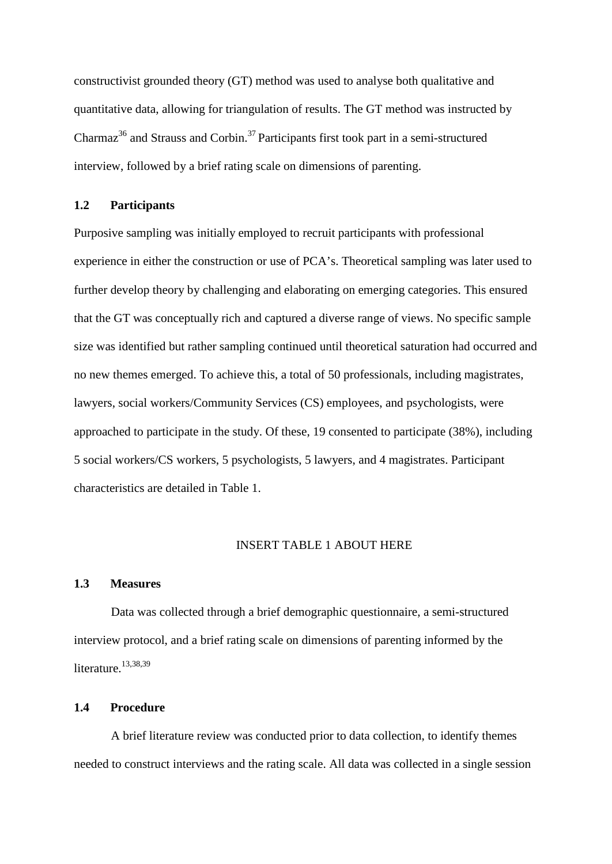constructivist grounded theory (GT) method was used to analyse both qualitative and quantitative data, allowing for triangulation of results. The GT method was instructed by Charmaz<sup>36</sup> and Strauss and Corbin.<sup>37</sup> Participants first took part in a semi-structured interview, followed by a brief rating scale on dimensions of parenting.

## **1.2 Participants**

Purposive sampling was initially employed to recruit participants with professional experience in either the construction or use of PCA's. Theoretical sampling was later used to further develop theory by challenging and elaborating on emerging categories. This ensured that the GT was conceptually rich and captured a diverse range of views. No specific sample size was identified but rather sampling continued until theoretical saturation had occurred and no new themes emerged. To achieve this, a total of 50 professionals, including magistrates, lawyers, social workers/Community Services (CS) employees, and psychologists, were approached to participate in the study. Of these, 19 consented to participate (38%), including 5 social workers/CS workers, 5 psychologists, 5 lawyers, and 4 magistrates. Participant characteristics are detailed in Table 1.

#### INSERT TABLE 1 ABOUT HERE

#### **1.3 Measures**

Data was collected through a brief demographic questionnaire, a semi-structured interview protocol, and a brief rating scale on dimensions of parenting informed by the literature. 13,38,39

## **1.4 Procedure**

A brief literature review was conducted prior to data collection, to identify themes needed to construct interviews and the rating scale. All data was collected in a single session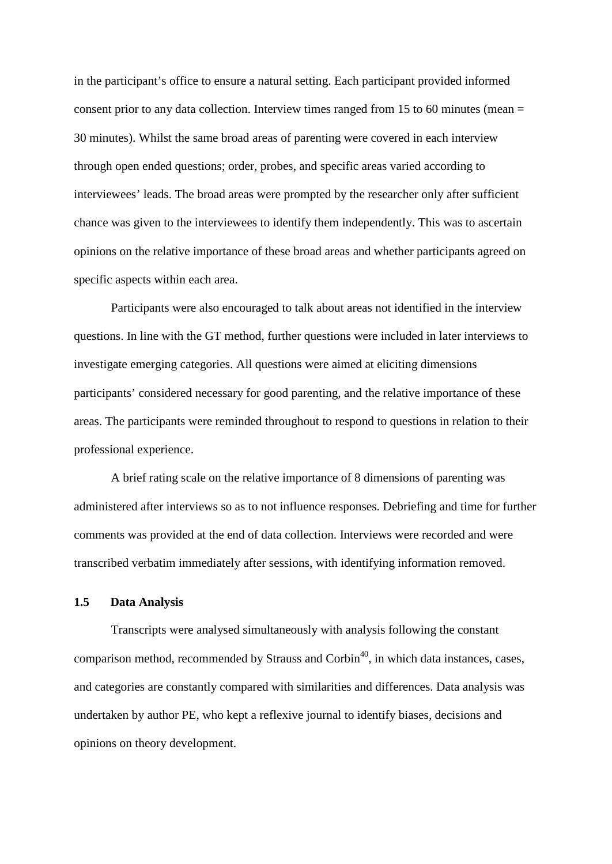in the participant's office to ensure a natural setting. Each participant provided informed consent prior to any data collection. Interview times ranged from 15 to 60 minutes (mean = 30 minutes). Whilst the same broad areas of parenting were covered in each interview through open ended questions; order, probes, and specific areas varied according to interviewees' leads. The broad areas were prompted by the researcher only after sufficient chance was given to the interviewees to identify them independently. This was to ascertain opinions on the relative importance of these broad areas and whether participants agreed on specific aspects within each area.

Participants were also encouraged to talk about areas not identified in the interview questions. In line with the GT method, further questions were included in later interviews to investigate emerging categories. All questions were aimed at eliciting dimensions participants' considered necessary for good parenting, and the relative importance of these areas. The participants were reminded throughout to respond to questions in relation to their professional experience.

A brief rating scale on the relative importance of 8 dimensions of parenting was administered after interviews so as to not influence responses. Debriefing and time for further comments was provided at the end of data collection. Interviews were recorded and were transcribed verbatim immediately after sessions, with identifying information removed.

#### **1.5 Data Analysis**

Transcripts were analysed simultaneously with analysis following the constant comparison method, recommended by Strauss and Corbin<sup>40</sup>, in which data instances, cases, and categories are constantly compared with similarities and differences. Data analysis was undertaken by author PE, who kept a reflexive journal to identify biases, decisions and opinions on theory development.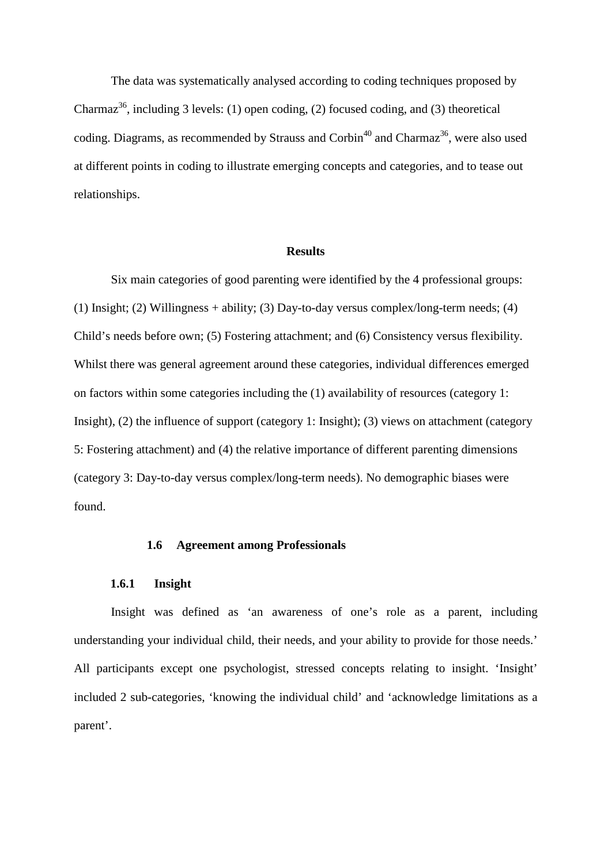The data was systematically analysed according to coding techniques proposed by Charmaz<sup>36</sup>, including 3 levels: (1) open coding, (2) focused coding, and (3) theoretical coding. Diagrams, as recommended by Strauss and Corbin<sup>40</sup> and Charmaz<sup>36</sup>, were also used at different points in coding to illustrate emerging concepts and categories, and to tease out relationships.

#### **Results**

Six main categories of good parenting were identified by the 4 professional groups: (1) Insight; (2) Willingness + ability; (3) Day-to-day versus complex/long-term needs; (4) Child's needs before own; (5) Fostering attachment; and (6) Consistency versus flexibility. Whilst there was general agreement around these categories, individual differences emerged on factors within some categories including the (1) availability of resources (category 1: Insight), (2) the influence of support (category 1: Insight); (3) views on attachment (category 5: Fostering attachment) and (4) the relative importance of different parenting dimensions (category 3: Day-to-day versus complex/long-term needs). No demographic biases were found.

#### **1.6 Agreement among Professionals**

## **1.6.1 Insight**

Insight was defined as 'an awareness of one's role as a parent, including understanding your individual child, their needs, and your ability to provide for those needs.' All participants except one psychologist, stressed concepts relating to insight. 'Insight' included 2 sub-categories, 'knowing the individual child' and 'acknowledge limitations as a parent'.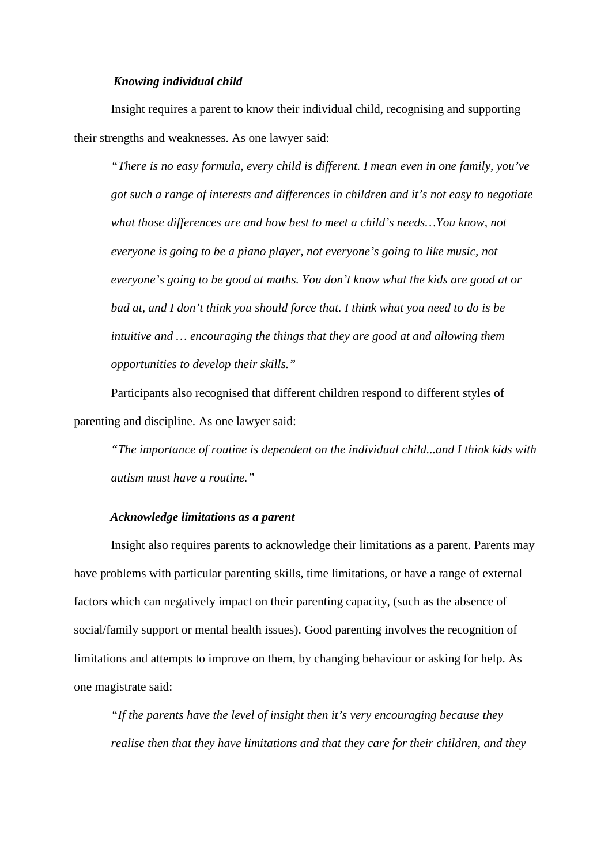#### *Knowing individual child*

Insight requires a parent to know their individual child, recognising and supporting their strengths and weaknesses. As one lawyer said:

*"There is no easy formula, every child is different. I mean even in one family, you've got such a range of interests and differences in children and it's not easy to negotiate what those differences are and how best to meet a child's needs…You know, not everyone is going to be a piano player, not everyone's going to like music, not everyone's going to be good at maths. You don't know what the kids are good at or bad at, and I don't think you should force that. I think what you need to do is be intuitive and … encouraging the things that they are good at and allowing them opportunities to develop their skills."*

Participants also recognised that different children respond to different styles of parenting and discipline. As one lawyer said:

*"The importance of routine is dependent on the individual child...and I think kids with autism must have a routine."*

## *Acknowledge limitations as a parent*

Insight also requires parents to acknowledge their limitations as a parent. Parents may have problems with particular parenting skills, time limitations, or have a range of external factors which can negatively impact on their parenting capacity, (such as the absence of social/family support or mental health issues). Good parenting involves the recognition of limitations and attempts to improve on them, by changing behaviour or asking for help. As one magistrate said:

*"If the parents have the level of insight then it's very encouraging because they realise then that they have limitations and that they care for their children, and they*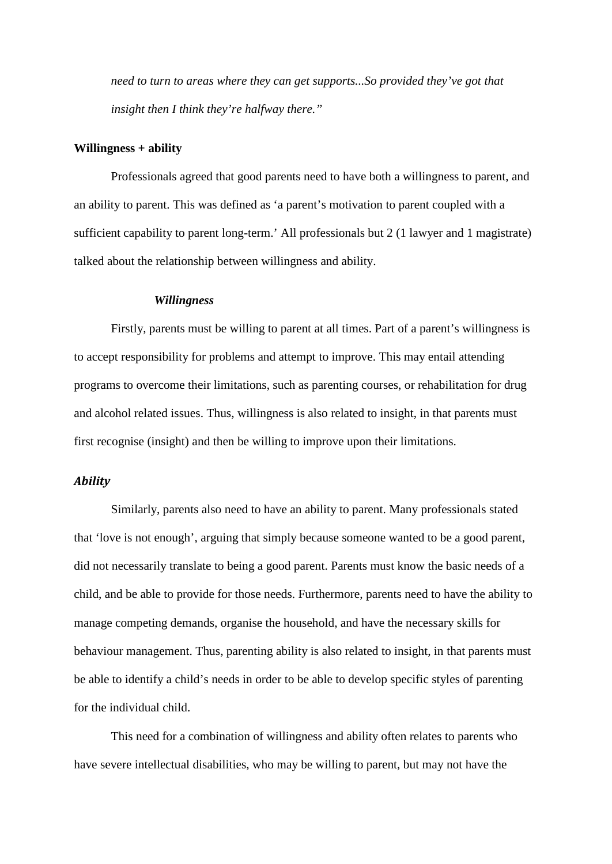*need to turn to areas where they can get supports...So provided they've got that insight then I think they're halfway there."*

#### **Willingness + ability**

Professionals agreed that good parents need to have both a willingness to parent, and an ability to parent. This was defined as 'a parent's motivation to parent coupled with a sufficient capability to parent long-term.' All professionals but 2 (1 lawyer and 1 magistrate) talked about the relationship between willingness and ability.

#### *Willingness*

Firstly, parents must be willing to parent at all times. Part of a parent's willingness is to accept responsibility for problems and attempt to improve. This may entail attending programs to overcome their limitations, such as parenting courses, or rehabilitation for drug and alcohol related issues. Thus, willingness is also related to insight, in that parents must first recognise (insight) and then be willing to improve upon their limitations.

#### *Ability*

Similarly, parents also need to have an ability to parent. Many professionals stated that 'love is not enough', arguing that simply because someone wanted to be a good parent, did not necessarily translate to being a good parent. Parents must know the basic needs of a child, and be able to provide for those needs. Furthermore, parents need to have the ability to manage competing demands, organise the household, and have the necessary skills for behaviour management. Thus, parenting ability is also related to insight, in that parents must be able to identify a child's needs in order to be able to develop specific styles of parenting for the individual child.

This need for a combination of willingness and ability often relates to parents who have severe intellectual disabilities, who may be willing to parent, but may not have the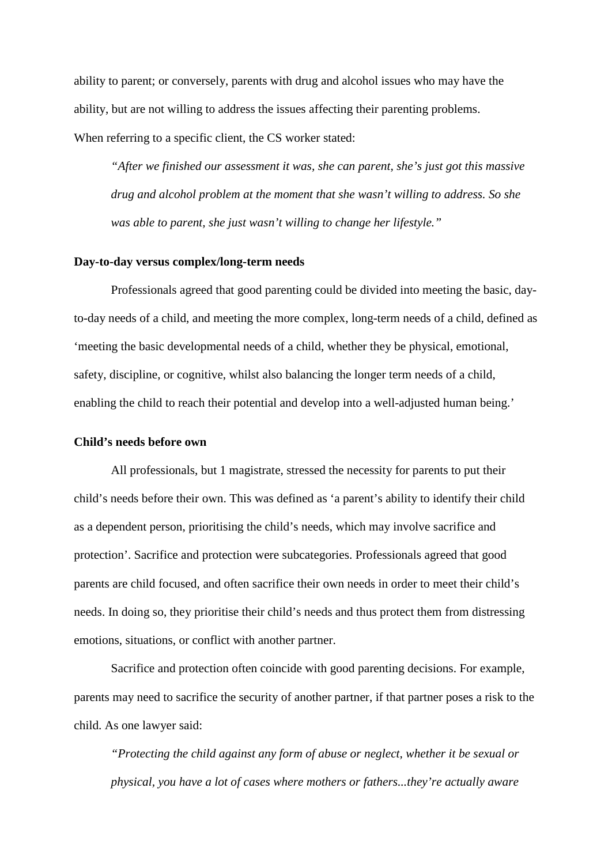ability to parent; or conversely, parents with drug and alcohol issues who may have the ability, but are not willing to address the issues affecting their parenting problems. When referring to a specific client, the CS worker stated:

*"After we finished our assessment it was, she can parent, she's just got this massive drug and alcohol problem at the moment that she wasn't willing to address. So she was able to parent, she just wasn't willing to change her lifestyle."*

## **Day-to-day versus complex/long-term needs**

Professionals agreed that good parenting could be divided into meeting the basic, dayto-day needs of a child, and meeting the more complex, long-term needs of a child, defined as 'meeting the basic developmental needs of a child, whether they be physical, emotional, safety, discipline, or cognitive, whilst also balancing the longer term needs of a child, enabling the child to reach their potential and develop into a well-adjusted human being.'

## **Child's needs before own**

All professionals, but 1 magistrate, stressed the necessity for parents to put their child's needs before their own. This was defined as 'a parent's ability to identify their child as a dependent person, prioritising the child's needs, which may involve sacrifice and protection'. Sacrifice and protection were subcategories. Professionals agreed that good parents are child focused, and often sacrifice their own needs in order to meet their child's needs. In doing so, they prioritise their child's needs and thus protect them from distressing emotions, situations, or conflict with another partner.

Sacrifice and protection often coincide with good parenting decisions. For example, parents may need to sacrifice the security of another partner, if that partner poses a risk to the child. As one lawyer said:

*"Protecting the child against any form of abuse or neglect, whether it be sexual or physical, you have a lot of cases where mothers or fathers...they're actually aware*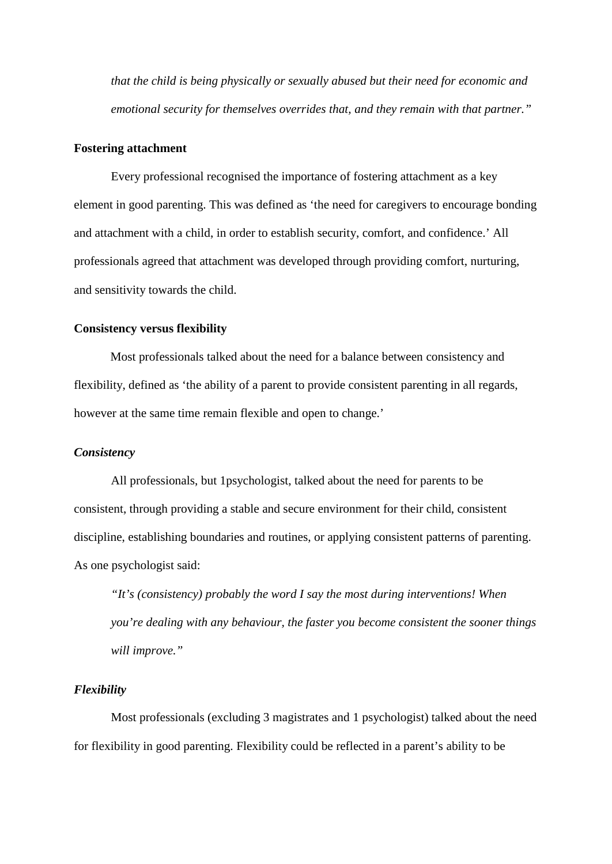*that the child is being physically or sexually abused but their need for economic and emotional security for themselves overrides that, and they remain with that partner."*

#### **Fostering attachment**

Every professional recognised the importance of fostering attachment as a key element in good parenting. This was defined as 'the need for caregivers to encourage bonding and attachment with a child, in order to establish security, comfort, and confidence.' All professionals agreed that attachment was developed through providing comfort, nurturing, and sensitivity towards the child.

## **Consistency versus flexibility**

Most professionals talked about the need for a balance between consistency and flexibility, defined as 'the ability of a parent to provide consistent parenting in all regards, however at the same time remain flexible and open to change.'

## *Consistency*

All professionals, but 1psychologist, talked about the need for parents to be consistent, through providing a stable and secure environment for their child, consistent discipline, establishing boundaries and routines, or applying consistent patterns of parenting. As one psychologist said:

*"It's (consistency) probably the word I say the most during interventions! When you're dealing with any behaviour, the faster you become consistent the sooner things will improve."*

#### *Flexibility*

Most professionals (excluding 3 magistrates and 1 psychologist) talked about the need for flexibility in good parenting. Flexibility could be reflected in a parent's ability to be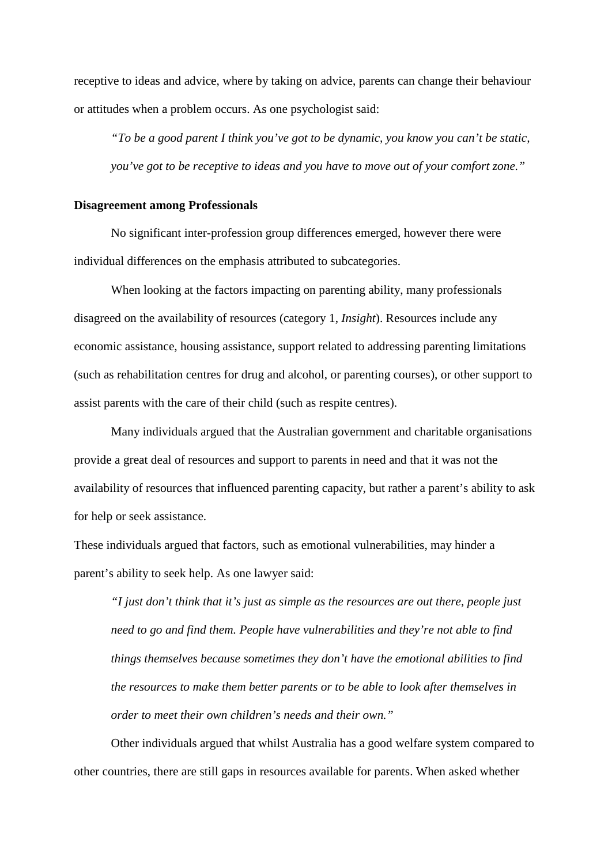receptive to ideas and advice, where by taking on advice, parents can change their behaviour or attitudes when a problem occurs. As one psychologist said:

*"To be a good parent I think you've got to be dynamic, you know you can't be static, you've got to be receptive to ideas and you have to move out of your comfort zone."*

## **Disagreement among Professionals**

No significant inter-profession group differences emerged, however there were individual differences on the emphasis attributed to subcategories.

When looking at the factors impacting on parenting ability, many professionals disagreed on the availability of resources (category 1, *Insight*). Resources include any economic assistance, housing assistance, support related to addressing parenting limitations (such as rehabilitation centres for drug and alcohol, or parenting courses), or other support to assist parents with the care of their child (such as respite centres).

Many individuals argued that the Australian government and charitable organisations provide a great deal of resources and support to parents in need and that it was not the availability of resources that influenced parenting capacity, but rather a parent's ability to ask for help or seek assistance.

These individuals argued that factors, such as emotional vulnerabilities, may hinder a parent's ability to seek help. As one lawyer said:

*"I just don't think that it's just as simple as the resources are out there, people just need to go and find them. People have vulnerabilities and they're not able to find things themselves because sometimes they don't have the emotional abilities to find the resources to make them better parents or to be able to look after themselves in order to meet their own children's needs and their own."*

Other individuals argued that whilst Australia has a good welfare system compared to other countries, there are still gaps in resources available for parents. When asked whether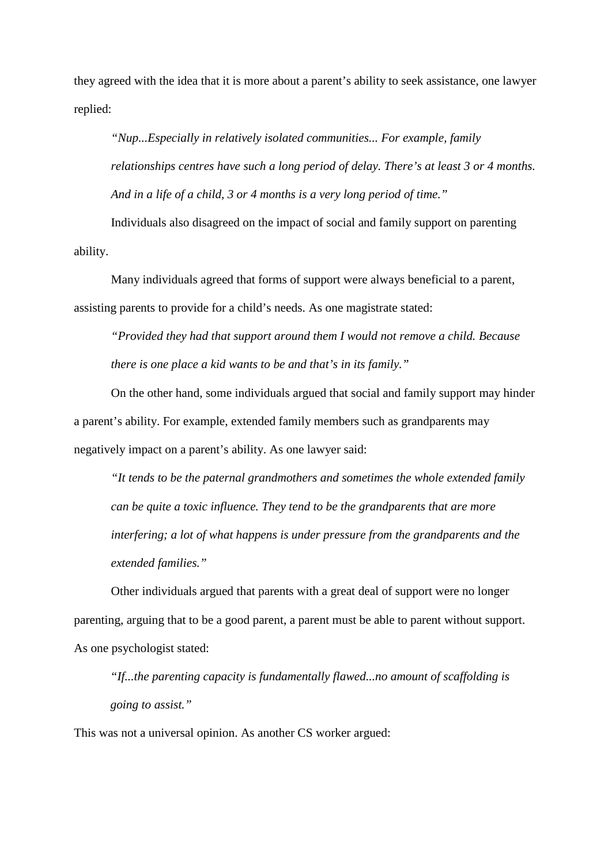they agreed with the idea that it is more about a parent's ability to seek assistance, one lawyer replied:

*"Nup...Especially in relatively isolated communities... For example, family relationships centres have such a long period of delay. There's at least 3 or 4 months. And in a life of a child, 3 or 4 months is a very long period of time."*

Individuals also disagreed on the impact of social and family support on parenting ability.

Many individuals agreed that forms of support were always beneficial to a parent, assisting parents to provide for a child's needs. As one magistrate stated:

*"Provided they had that support around them I would not remove a child. Because there is one place a kid wants to be and that's in its family."*

On the other hand, some individuals argued that social and family support may hinder a parent's ability. For example, extended family members such as grandparents may negatively impact on a parent's ability. As one lawyer said:

*"It tends to be the paternal grandmothers and sometimes the whole extended family can be quite a toxic influence. They tend to be the grandparents that are more interfering; a lot of what happens is under pressure from the grandparents and the extended families."*

Other individuals argued that parents with a great deal of support were no longer parenting, arguing that to be a good parent, a parent must be able to parent without support. As one psychologist stated:

*"If...the parenting capacity is fundamentally flawed...no amount of scaffolding is going to assist."*

This was not a universal opinion. As another CS worker argued: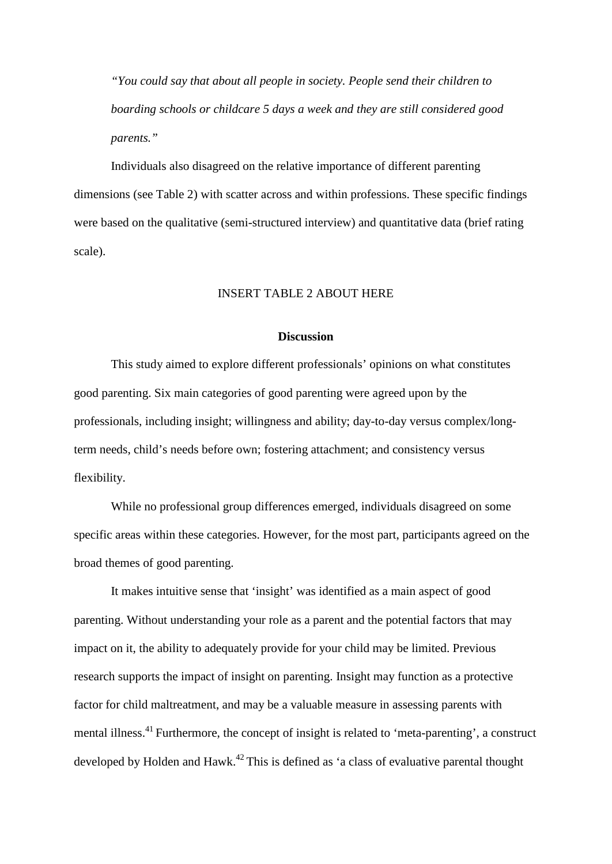*"You could say that about all people in society. People send their children to boarding schools or childcare 5 days a week and they are still considered good parents."*

Individuals also disagreed on the relative importance of different parenting dimensions (see Table 2) with scatter across and within professions. These specific findings were based on the qualitative (semi-structured interview) and quantitative data (brief rating scale).

## INSERT TABLE 2 ABOUT HERE

#### **Discussion**

This study aimed to explore different professionals' opinions on what constitutes good parenting. Six main categories of good parenting were agreed upon by the professionals, including insight; willingness and ability; day-to-day versus complex/longterm needs, child's needs before own; fostering attachment; and consistency versus flexibility.

While no professional group differences emerged, individuals disagreed on some specific areas within these categories. However, for the most part, participants agreed on the broad themes of good parenting.

It makes intuitive sense that 'insight' was identified as a main aspect of good parenting. Without understanding your role as a parent and the potential factors that may impact on it, the ability to adequately provide for your child may be limited. Previous research supports the impact of insight on parenting. Insight may function as a protective factor for child maltreatment, and may be a valuable measure in assessing parents with mental illness.<sup>41</sup> Furthermore, the concept of insight is related to 'meta-parenting', a construct developed by Holden and Hawk.<sup>42</sup> This is defined as 'a class of evaluative parental thought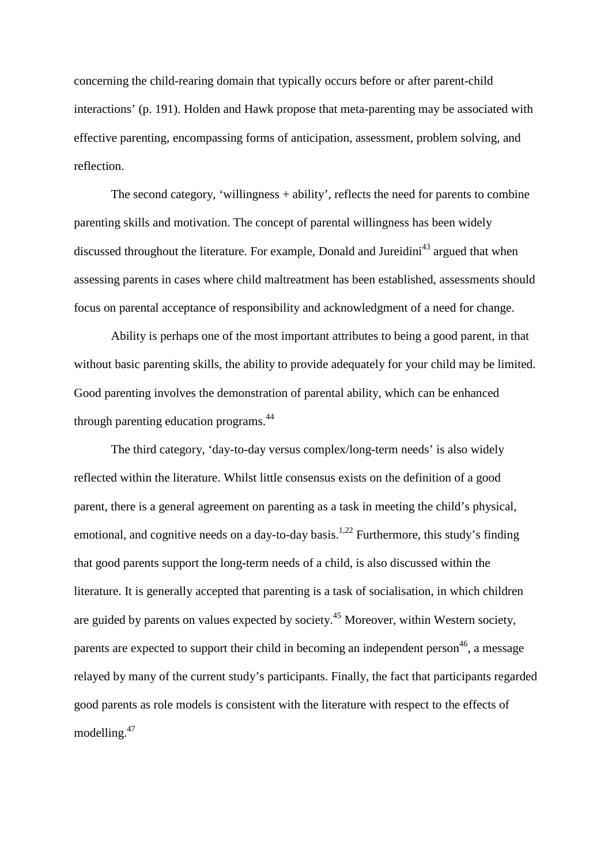concerning the child-rearing domain that typically occurs before or after parent-child interactions' (p. 191). Holden and Hawk propose that meta-parenting may be associated with effective parenting, encompassing forms of anticipation, assessment, problem solving, and reflection.

The second category, 'willingness + ability', reflects the need for parents to combine parenting skills and motivation. The concept of parental willingness has been widely discussed throughout the literature. For example, Donald and Jureidini<sup>43</sup> argued that when assessing parents in cases where child maltreatment has been established, assessments should focus on parental acceptance of responsibility and acknowledgment of a need for change.

Ability is perhaps one of the most important attributes to being a good parent, in that without basic parenting skills, the ability to provide adequately for your child may be limited. Good parenting involves the demonstration of parental ability, which can be enhanced through parenting education programs.<sup>44</sup>

The third category, 'day-to-day versus complex/long-term needs' is also widely reflected within the literature. Whilst little consensus exists on the definition of a good parent, there is a general agreement on parenting as a task in meeting the child's physical, emotional, and cognitive needs on a day-to-day basis.<sup>1,22</sup> Furthermore, this study's finding that good parents support the long-term needs of a child, is also discussed within the literature. It is generally accepted that parenting is a task of socialisation, in which children are guided by parents on values expected by society.<sup>45</sup> Moreover, within Western society, parents are expected to support their child in becoming an independent person<sup>46</sup>, a message relayed by many of the current study's participants. Finally, the fact that participants regarded good parents as role models is consistent with the literature with respect to the effects of modelling.<sup>47</sup>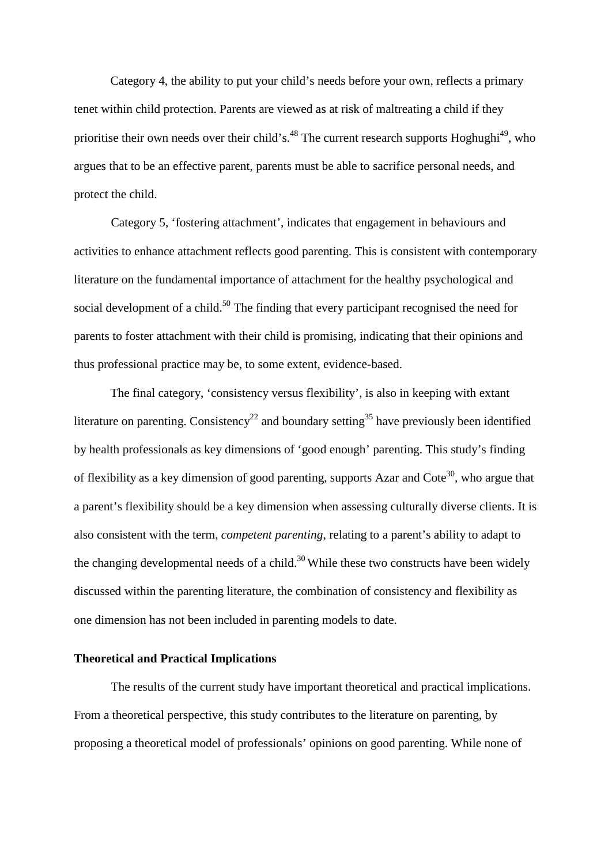Category 4, the ability to put your child's needs before your own, reflects a primary tenet within child protection. Parents are viewed as at risk of maltreating a child if they prioritise their own needs over their child's.<sup>48</sup> The current research supports Hoghughi<sup>49</sup>, who argues that to be an effective parent, parents must be able to sacrifice personal needs, and protect the child.

Category 5, 'fostering attachment', indicates that engagement in behaviours and activities to enhance attachment reflects good parenting. This is consistent with contemporary literature on the fundamental importance of attachment for the healthy psychological and social development of a child.<sup>50</sup> The finding that every participant recognised the need for parents to foster attachment with their child is promising, indicating that their opinions and thus professional practice may be, to some extent, evidence-based.

The final category, 'consistency versus flexibility', is also in keeping with extant literature on parenting. Consistency<sup>22</sup> and boundary setting<sup>35</sup> have previously been identified by health professionals as key dimensions of 'good enough' parenting. This study's finding of flexibility as a key dimension of good parenting, supports Azar and Cote<sup>30</sup>, who argue that a parent's flexibility should be a key dimension when assessing culturally diverse clients. It is also consistent with the term, *competent parenting*, relating to a parent's ability to adapt to the changing developmental needs of a child.<sup>30</sup> While these two constructs have been widely discussed within the parenting literature, the combination of consistency and flexibility as one dimension has not been included in parenting models to date.

## **Theoretical and Practical Implications**

The results of the current study have important theoretical and practical implications. From a theoretical perspective, this study contributes to the literature on parenting, by proposing a theoretical model of professionals' opinions on good parenting. While none of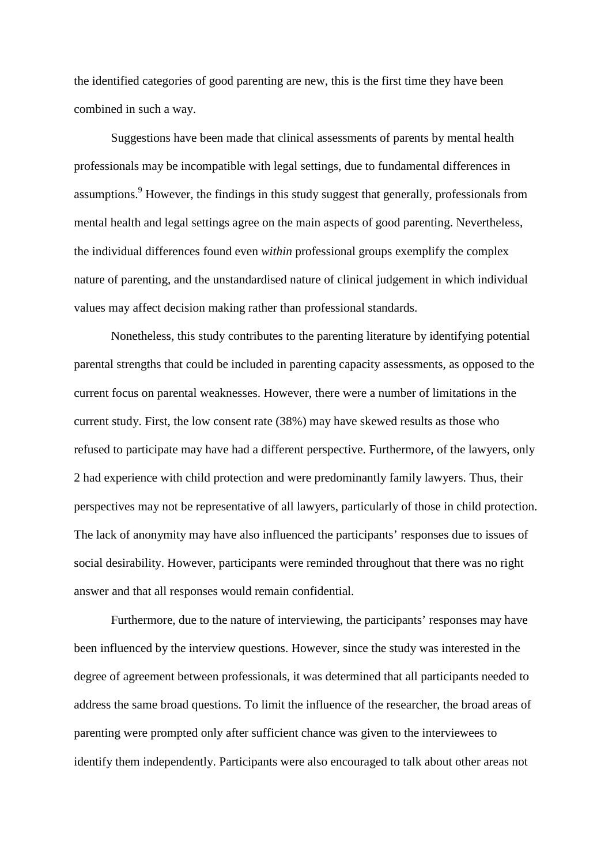the identified categories of good parenting are new, this is the first time they have been combined in such a way.

Suggestions have been made that clinical assessments of parents by mental health professionals may be incompatible with legal settings, due to fundamental differences in assumptions.<sup>9</sup> However, the findings in this study suggest that generally, professionals from mental health and legal settings agree on the main aspects of good parenting. Nevertheless, the individual differences found even *within* professional groups exemplify the complex nature of parenting, and the unstandardised nature of clinical judgement in which individual values may affect decision making rather than professional standards.

Nonetheless, this study contributes to the parenting literature by identifying potential parental strengths that could be included in parenting capacity assessments, as opposed to the current focus on parental weaknesses. However, there were a number of limitations in the current study. First, the low consent rate (38%) may have skewed results as those who refused to participate may have had a different perspective. Furthermore, of the lawyers, only 2 had experience with child protection and were predominantly family lawyers. Thus, their perspectives may not be representative of all lawyers, particularly of those in child protection. The lack of anonymity may have also influenced the participants' responses due to issues of social desirability. However, participants were reminded throughout that there was no right answer and that all responses would remain confidential.

Furthermore, due to the nature of interviewing, the participants' responses may have been influenced by the interview questions. However, since the study was interested in the degree of agreement between professionals, it was determined that all participants needed to address the same broad questions. To limit the influence of the researcher, the broad areas of parenting were prompted only after sufficient chance was given to the interviewees to identify them independently. Participants were also encouraged to talk about other areas not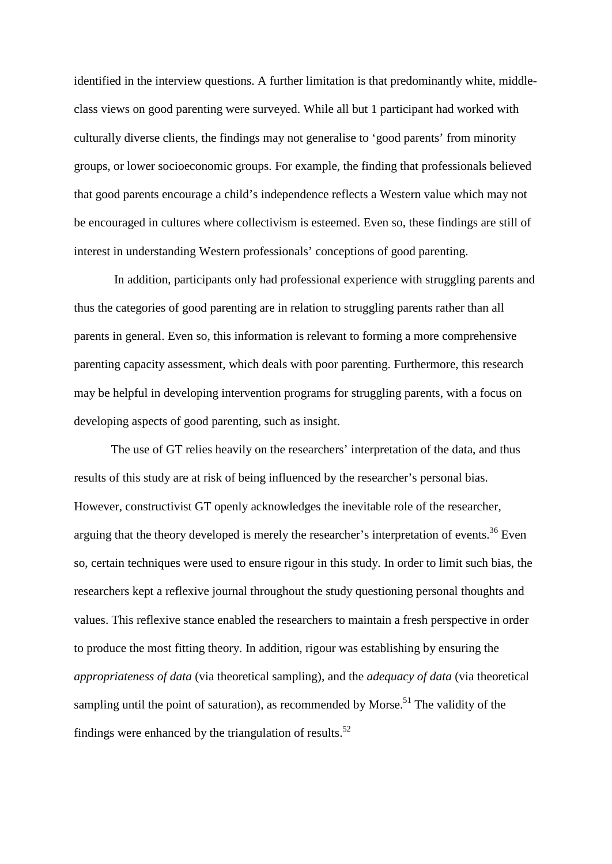identified in the interview questions. A further limitation is that predominantly white, middleclass views on good parenting were surveyed. While all but 1 participant had worked with culturally diverse clients, the findings may not generalise to 'good parents' from minority groups, or lower socioeconomic groups. For example, the finding that professionals believed that good parents encourage a child's independence reflects a Western value which may not be encouraged in cultures where collectivism is esteemed. Even so, these findings are still of interest in understanding Western professionals' conceptions of good parenting.

In addition, participants only had professional experience with struggling parents and thus the categories of good parenting are in relation to struggling parents rather than all parents in general. Even so, this information is relevant to forming a more comprehensive parenting capacity assessment, which deals with poor parenting. Furthermore, this research may be helpful in developing intervention programs for struggling parents, with a focus on developing aspects of good parenting, such as insight.

The use of GT relies heavily on the researchers' interpretation of the data, and thus results of this study are at risk of being influenced by the researcher's personal bias. However, constructivist GT openly acknowledges the inevitable role of the researcher, arguing that the theory developed is merely the researcher's interpretation of events.<sup>36</sup> Even so, certain techniques were used to ensure rigour in this study. In order to limit such bias, the researchers kept a reflexive journal throughout the study questioning personal thoughts and values. This reflexive stance enabled the researchers to maintain a fresh perspective in order to produce the most fitting theory. In addition, rigour was establishing by ensuring the *appropriateness of data* (via theoretical sampling), and the *adequacy of data* (via theoretical sampling until the point of saturation), as recommended by Morse.<sup>51</sup> The validity of the findings were enhanced by the triangulation of results.<sup>52</sup>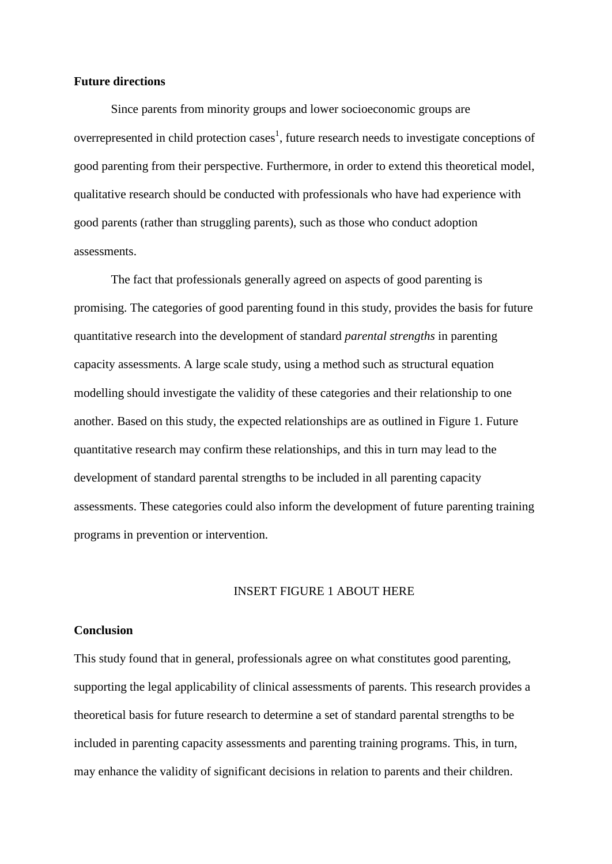#### **Future directions**

Since parents from minority groups and lower socioeconomic groups are overrepresented in child protection cases<sup>1</sup>, future research needs to investigate conceptions of good parenting from their perspective. Furthermore, in order to extend this theoretical model, qualitative research should be conducted with professionals who have had experience with good parents (rather than struggling parents), such as those who conduct adoption assessments.

The fact that professionals generally agreed on aspects of good parenting is promising. The categories of good parenting found in this study, provides the basis for future quantitative research into the development of standard *parental strengths* in parenting capacity assessments. A large scale study, using a method such as structural equation modelling should investigate the validity of these categories and their relationship to one another. Based on this study, the expected relationships are as outlined in Figure 1. Future quantitative research may confirm these relationships, and this in turn may lead to the development of standard parental strengths to be included in all parenting capacity assessments. These categories could also inform the development of future parenting training programs in prevention or intervention.

#### INSERT FIGURE 1 ABOUT HERE

#### **Conclusion**

This study found that in general, professionals agree on what constitutes good parenting, supporting the legal applicability of clinical assessments of parents. This research provides a theoretical basis for future research to determine a set of standard parental strengths to be included in parenting capacity assessments and parenting training programs. This, in turn, may enhance the validity of significant decisions in relation to parents and their children.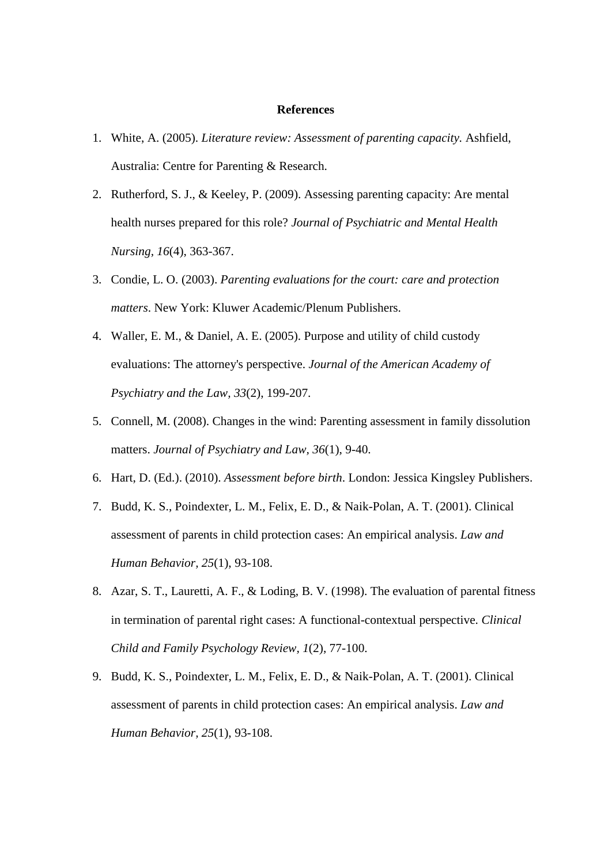#### **References**

- 1. White, A. (2005). *Literature review: Assessment of parenting capacity.* Ashfield, Australia: Centre for Parenting & Research.
- 2. Rutherford, S. J., & Keeley, P. (2009). Assessing parenting capacity: Are mental health nurses prepared for this role? *Journal of Psychiatric and Mental Health Nursing, 16*(4), 363-367.
- 3. Condie, L. O. (2003). *Parenting evaluations for the court: care and protection matters*. New York: Kluwer Academic/Plenum Publishers.
- 4. Waller, E. M., & Daniel, A. E. (2005). Purpose and utility of child custody evaluations: The attorney's perspective. *Journal of the American Academy of Psychiatry and the Law, 33*(2), 199-207.
- 5. Connell, M. (2008). Changes in the wind: Parenting assessment in family dissolution matters. *Journal of Psychiatry and Law, 36*(1), 9-40.
- 6. Hart, D. (Ed.). (2010). *Assessment before birth*. London: Jessica Kingsley Publishers.
- 7. Budd, K. S., Poindexter, L. M., Felix, E. D., & Naik-Polan, A. T. (2001). Clinical assessment of parents in child protection cases: An empirical analysis. *Law and Human Behavior, 25*(1), 93-108.
- 8. Azar, S. T., Lauretti, A. F., & Loding, B. V. (1998). The evaluation of parental fitness in termination of parental right cases: A functional-contextual perspective. *Clinical Child and Family Psychology Review, 1*(2), 77-100.
- 9. Budd, K. S., Poindexter, L. M., Felix, E. D., & Naik-Polan, A. T. (2001). Clinical assessment of parents in child protection cases: An empirical analysis. *Law and Human Behavior, 25*(1), 93-108.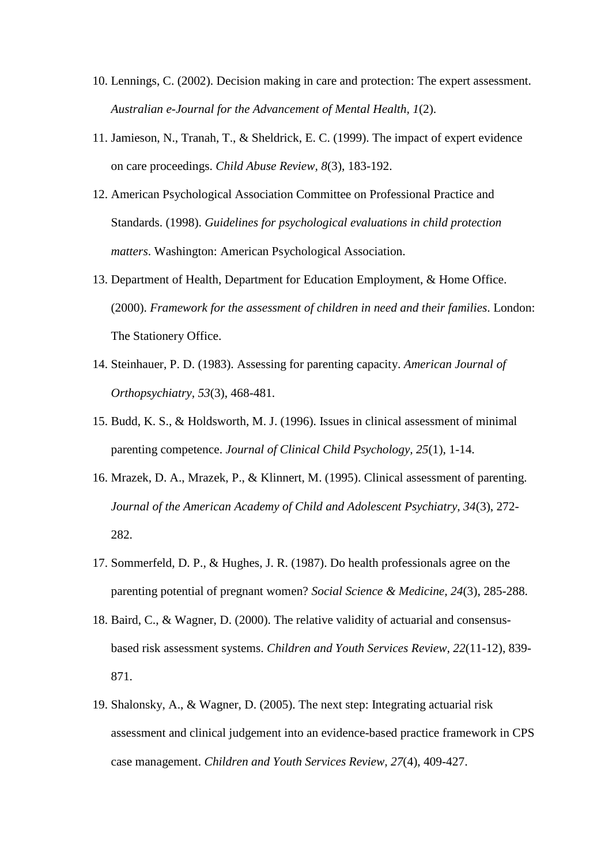- 10. Lennings, C. (2002). Decision making in care and protection: The expert assessment. *Australian e-Journal for the Advancement of Mental Health, 1*(2).
- 11. Jamieson, N., Tranah, T., & Sheldrick, E. C. (1999). The impact of expert evidence on care proceedings. *Child Abuse Review, 8*(3), 183-192.
- 12. American Psychological Association Committee on Professional Practice and Standards. (1998). *Guidelines for psychological evaluations in child protection matters*. Washington: American Psychological Association.
- 13. Department of Health, Department for Education Employment, & Home Office. (2000). *Framework for the assessment of children in need and their families*. London: The Stationery Office.
- 14. Steinhauer, P. D. (1983). Assessing for parenting capacity. *American Journal of Orthopsychiatry, 53*(3), 468-481.
- 15. Budd, K. S., & Holdsworth, M. J. (1996). Issues in clinical assessment of minimal parenting competence. *Journal of Clinical Child Psychology, 25*(1), 1-14.
- 16. Mrazek, D. A., Mrazek, P., & Klinnert, M. (1995). Clinical assessment of parenting. *Journal of the American Academy of Child and Adolescent Psychiatry, 34*(3), 272- 282.
- 17. Sommerfeld, D. P., & Hughes, J. R. (1987). Do health professionals agree on the parenting potential of pregnant women? *Social Science & Medicine, 24*(3), 285-288.
- 18. Baird, C., & Wagner, D. (2000). The relative validity of actuarial and consensusbased risk assessment systems. *Children and Youth Services Review, 22*(11-12), 839- 871.
- 19. Shalonsky, A., & Wagner, D. (2005). The next step: Integrating actuarial risk assessment and clinical judgement into an evidence-based practice framework in CPS case management. *Children and Youth Services Review, 27*(4), 409-427.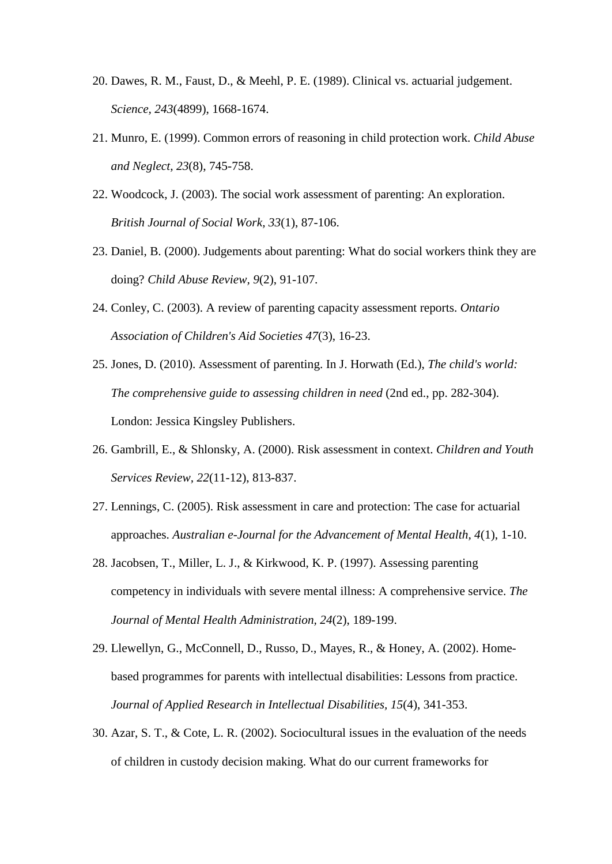- 20. Dawes, R. M., Faust, D., & Meehl, P. E. (1989). Clinical vs. actuarial judgement. *Science, 243*(4899), 1668-1674.
- 21. Munro, E. (1999). Common errors of reasoning in child protection work. *Child Abuse and Neglect, 23*(8), 745-758.
- 22. Woodcock, J. (2003). The social work assessment of parenting: An exploration. *British Journal of Social Work, 33*(1), 87-106.
- 23. Daniel, B. (2000). Judgements about parenting: What do social workers think they are doing? *Child Abuse Review, 9*(2), 91-107.
- 24. Conley, C. (2003). A review of parenting capacity assessment reports. *Ontario Association of Children's Aid Societies 47*(3), 16-23.
- 25. Jones, D. (2010). Assessment of parenting. In J. Horwath (Ed.), *The child's world: The comprehensive guide to assessing children in need* (2nd ed., pp. 282-304). London: Jessica Kingsley Publishers.
- 26. Gambrill, E., & Shlonsky, A. (2000). Risk assessment in context. *Children and Youth Services Review, 22*(11-12), 813-837.
- 27. Lennings, C. (2005). Risk assessment in care and protection: The case for actuarial approaches. *Australian e-Journal for the Advancement of Mental Health, 4*(1), 1-10.
- 28. Jacobsen, T., Miller, L. J., & Kirkwood, K. P. (1997). Assessing parenting competency in individuals with severe mental illness: A comprehensive service. *The Journal of Mental Health Administration, 24*(2), 189-199.
- 29. Llewellyn, G., McConnell, D., Russo, D., Mayes, R., & Honey, A. (2002). Homebased programmes for parents with intellectual disabilities: Lessons from practice. *Journal of Applied Research in Intellectual Disabilities, 15*(4), 341-353.
- 30. Azar, S. T., & Cote, L. R. (2002). Sociocultural issues in the evaluation of the needs of children in custody decision making. What do our current frameworks for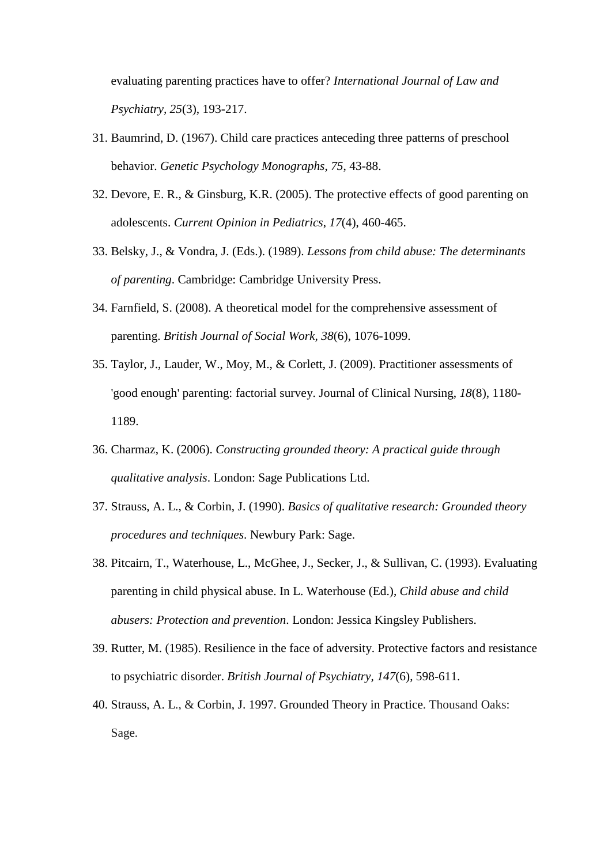evaluating parenting practices have to offer? *International Journal of Law and Psychiatry, 25*(3), 193-217.

- 31. Baumrind, D. (1967). Child care practices anteceding three patterns of preschool behavior. *Genetic Psychology Monographs*, *75*, 43-88.
- 32. Devore, E. R., & Ginsburg, K.R. (2005). The protective effects of good parenting on adolescents. *Current Opinion in Pediatrics*, *17*(4), 460-465.
- 33. Belsky, J., & Vondra, J. (Eds.). (1989). *Lessons from child abuse: The determinants of parenting*. Cambridge: Cambridge University Press.
- 34. Farnfield, S. (2008). A theoretical model for the comprehensive assessment of parenting. *British Journal of Social Work, 38*(6), 1076-1099.
- 35. Taylor, J., Lauder, W., Moy, M., & Corlett, J. (2009). Practitioner assessments of 'good enough' parenting: factorial survey. Journal of Clinical Nursing, *18*(8), 1180- 1189.
- 36. Charmaz, K. (2006). *Constructing grounded theory: A practical guide through qualitative analysis*. London: Sage Publications Ltd.
- 37. Strauss, A. L., & Corbin, J. (1990). *Basics of qualitative research: Grounded theory procedures and techniques*. Newbury Park: Sage.
- 38. Pitcairn, T., Waterhouse, L., McGhee, J., Secker, J., & Sullivan, C. (1993). Evaluating parenting in child physical abuse. In L. Waterhouse (Ed.), *Child abuse and child abusers: Protection and prevention*. London: Jessica Kingsley Publishers.
- 39. Rutter, M. (1985). Resilience in the face of adversity. Protective factors and resistance to psychiatric disorder. *British Journal of Psychiatry, 147*(6), 598-611.
- 40. Strauss, A. L., & Corbin, J. 1997. Grounded Theory in Practice. Thousand Oaks: Sage.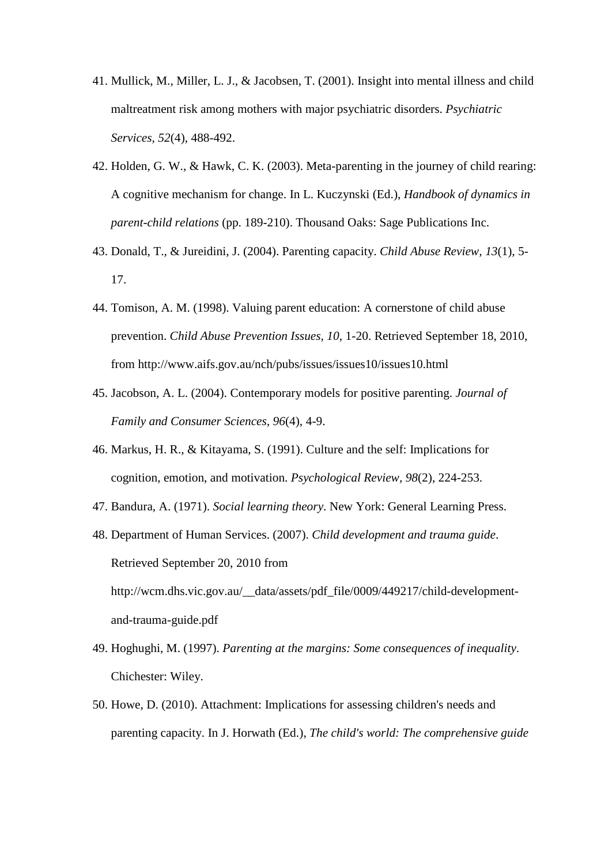- 41. Mullick, M., Miller, L. J., & Jacobsen, T. (2001). Insight into mental illness and child maltreatment risk among mothers with major psychiatric disorders. *Psychiatric Services, 52*(4), 488-492.
- 42. Holden, G. W., & Hawk, C. K. (2003). Meta-parenting in the journey of child rearing: A cognitive mechanism for change. In L. Kuczynski (Ed.), *Handbook of dynamics in parent-child relations* (pp. 189-210). Thousand Oaks: Sage Publications Inc.
- 43. Donald, T., & Jureidini, J. (2004). Parenting capacity. *Child Abuse Review, 13*(1), 5- 17.
- 44. Tomison, A. M. (1998). Valuing parent education: A cornerstone of child abuse prevention. *Child Abuse Prevention Issues, 10*, 1-20. Retrieved September 18, 2010, from http://www.aifs.gov.au/nch/pubs/issues/issues10/issues10.html
- 45. Jacobson, A. L. (2004). Contemporary models for positive parenting. *Journal of Family and Consumer Sciences, 96*(4), 4-9.
- 46. Markus, H. R., & Kitayama, S. (1991). Culture and the self: Implications for cognition, emotion, and motivation. *Psychological Review, 98*(2), 224-253.
- 47. Bandura, A. (1971). *Social learning theory*. New York: General Learning Press.
- 48. Department of Human Services. (2007). *Child development and trauma guide*. Retrieved September 20, 2010 from http://wcm.dhs.vic.gov.au/\_\_data/assets/pdf\_file/0009/449217/child-developmentand-trauma-guide.pdf
- 49. Hoghughi, M. (1997). *Parenting at the margins: Some consequences of inequality*. Chichester: Wiley.
- 50. Howe, D. (2010). Attachment: Implications for assessing children's needs and parenting capacity. In J. Horwath (Ed.), *The child's world: The comprehensive guide*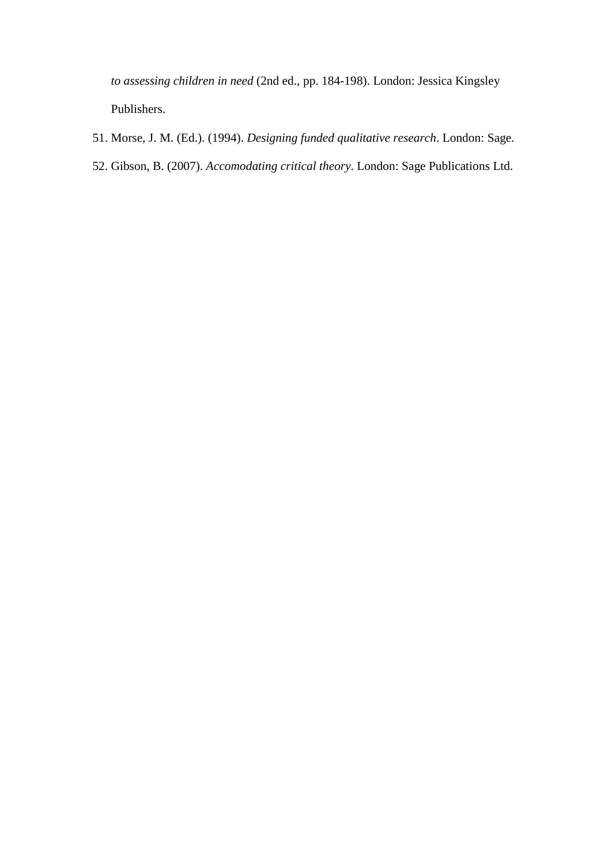*to assessing children in need* (2nd ed., pp. 184-198). London: Jessica Kingsley Publishers.

- 51. Morse, J. M. (Ed.). (1994). *Designing funded qualitative research*. London: Sage.
- 52. Gibson, B. (2007). *Accomodating critical theory*. London: Sage Publications Ltd.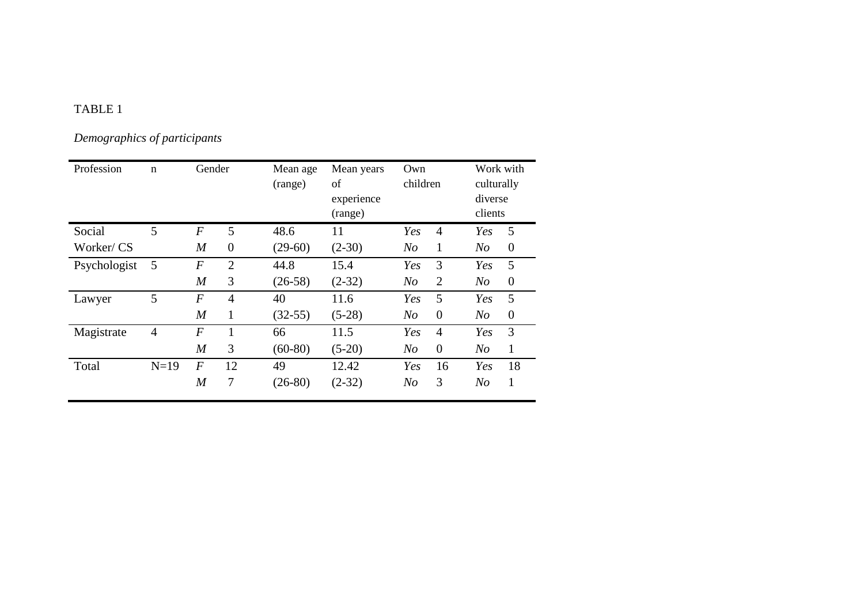## TABLE 1

*Demographics of participants*

| Profession   | $\mathbf n$    | Gender           |                | Mean age<br>(range) | Mean years<br>of<br>experience<br>(range) | Own<br>children |                | Work with<br>culturally<br>diverse<br>clients |          |
|--------------|----------------|------------------|----------------|---------------------|-------------------------------------------|-----------------|----------------|-----------------------------------------------|----------|
| Social       | 5              | $\overline{F}$   | 5              | 48.6                | 11                                        | Yes             | $\overline{4}$ | Yes                                           | 5        |
| Worker/CS    |                | $\boldsymbol{M}$ | $\overline{0}$ | $(29-60)$           | $(2-30)$                                  | N <sub>O</sub>  | 1              | N <sub>O</sub>                                | $\theta$ |
| Psychologist | 5              | $\boldsymbol{F}$ | $\overline{2}$ | 44.8                | 15.4                                      | Yes             | 3              | Yes                                           | 5        |
|              |                | $\overline{M}$   | 3              | $(26-58)$           | $(2-32)$                                  | N <sub>O</sub>  | $\overline{2}$ | N <sub>O</sub>                                | $\theta$ |
| Lawyer       | 5              | $\overline{F}$   | $\overline{4}$ | 40                  | 11.6                                      | Yes             | 5              | Yes                                           | 5        |
|              |                | $\overline{M}$   | 1              | $(32-55)$           | $(5-28)$                                  | N <sub>O</sub>  | $\theta$       | N <sub>O</sub>                                | $\theta$ |
| Magistrate   | $\overline{4}$ | $\overline{F}$   | 1              | 66                  | 11.5                                      | Yes             | $\overline{4}$ | Yes                                           | 3        |
|              |                | $\overline{M}$   | 3              | $(60-80)$           | $(5-20)$                                  | N <sub>O</sub>  | $\overline{0}$ | N <sub>O</sub>                                | 1        |
| Total        | $N=19$         | $\boldsymbol{F}$ | 12             | 49                  | 12.42                                     | Yes             | 16             | Yes                                           | 18       |
|              |                | $\overline{M}$   | 7              | $(26-80)$           | $(2-32)$                                  | N <sub>O</sub>  | 3              | N <sub>O</sub>                                | 1        |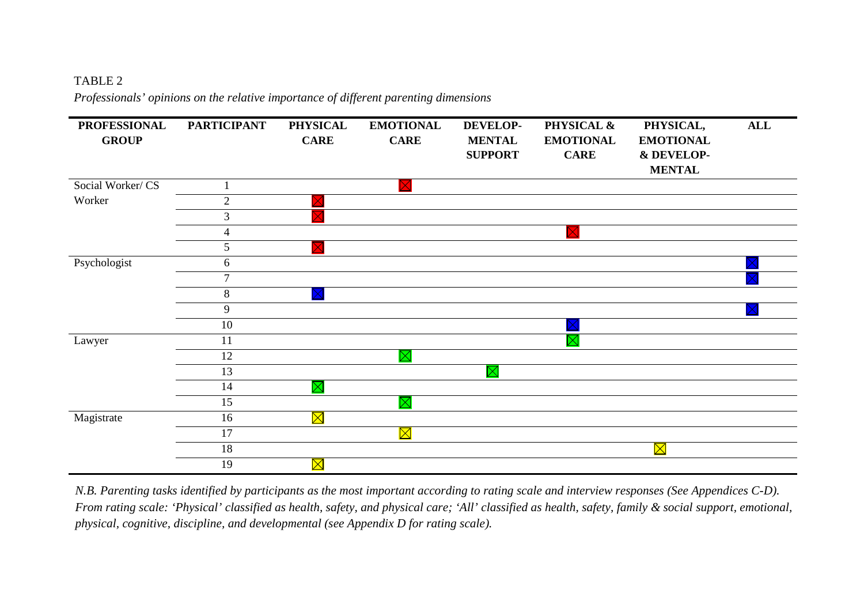## TABLE 2

*Professionals' opinions on the relative importance of different parenting dimensions*



*N.B. Parenting tasks identified by participants as the most important according to rating scale and interview responses (See Appendices C-D). From rating scale: 'Physical' classified as health, safety, and physical care; 'All' classified as health, safety, family & social support, emotional, physical, cognitive, discipline, and developmental (see Appendix D for rating scale).*